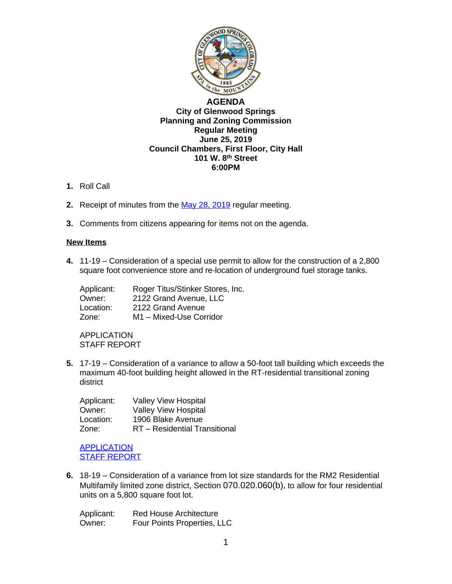

## **[AGENDA](http://www.ci.glenwood-springs.co.us/) [City of Glenwood Springs](http://www.ci.glenwood-springs.co.us/) [Planning and Zoning Commission](http://www.ci.glenwood-springs.co.us/) [Regular Meeting](http://www.ci.glenwood-springs.co.us/) [June 25, 2019](http://www.ci.glenwood-springs.co.us/) [Council Chambers, First Floor, City Hall](http://www.ci.glenwood-springs.co.us/) [101 W. 8](http://www.ci.glenwood-springs.co.us/)[th](http://www.ci.glenwood-springs.co.us/) [Street](http://www.ci.glenwood-springs.co.us/) [6:00PM](http://www.ci.glenwood-springs.co.us/)**

- **1.** [Roll Call](http://www.ci.glenwood-springs.co.us/)
- **2.** [Receipt of](http://www.ci.glenwood-springs.co.us/) [minutes from the](http://www.ci.glenwood-springs.co.us/) [May 28, 2019 regular meeting.](https://www.gwsco.gov/DocumentCenter/View/5681/pz-mins-5-28-19)
- **3.** [Comments from citizens appearing for items not on the agenda.](https://www.gwsco.gov/DocumentCenter/View/5681/pz-mins-5-28-19)

## **[New Items](https://www.gwsco.gov/DocumentCenter/View/5681/pz-mins-5-28-19)**

**4.** 11-19 – [Consideration](https://www.gwsco.gov/DocumentCenter/View/5681/pz-mins-5-28-19) of a special use permit to allow for [the](https://www.gwsco.gov/DocumentCenter/View/5681/pz-mins-5-28-19) [construction](https://www.gwsco.gov/DocumentCenter/View/5681/pz-mins-5-28-19) of a 2,800 square foot [convenience](https://www.gwsco.gov/DocumentCenter/View/5681/pz-mins-5-28-19) store and re[-](https://www.gwsco.gov/DocumentCenter/View/5681/pz-mins-5-28-19)location of [underground](https://www.gwsco.gov/DocumentCenter/View/5681/pz-mins-5-28-19) fuel storage tanks.

| Applicant: | Roger Titus/Stinker Stores, Inc. |
|------------|----------------------------------|
| Owner:     | 2122 Grand Avenue, LLC           |
| Location:  | 2122 Grand Avenue                |
| Zone:      | M1 - Mixed-Use Corridor          |

[APPLICATION](https://www.gwsco.gov/DocumentCenter/View/5681/pz-mins-5-28-19) STAFF [REPORT](https://www.gwsco.gov/DocumentCenter/View/5681/pz-mins-5-28-19)

**5.** [17-19](https://www.gwsco.gov/DocumentCenter/View/5681/pz-mins-5-28-19) [–](https://www.gwsco.gov/DocumentCenter/View/5681/pz-mins-5-28-19) [Consideration of a variance to allow a 50-foot tall building which exceeds the](https://www.gwsco.gov/DocumentCenter/View/5681/pz-mins-5-28-19)  [maximum 40-foot building height allowed in the RT-residential transitional zoning](https://www.gwsco.gov/DocumentCenter/View/5681/pz-mins-5-28-19)  [district](https://www.gwsco.gov/DocumentCenter/View/5681/pz-mins-5-28-19)

| Applicant: | <b>Valley View Hospital</b>   |
|------------|-------------------------------|
| Owner:     | <b>Valley View Hospital</b>   |
| Location:  | 1906 Blake Avenue             |
| Zone:      | RT - Residential Transitional |

[APPLICATION](https://www.gwsco.gov/DocumentCenter/View/5679/17-19-Valley-View-Hospital-Variance-Application---Complete) **STAFF [REPORT](https://www.gwsco.gov/DocumentCenter/View/5680/17-19-Staff-Report)** 

**6.** 18-19 – Consideration of a variance from lot size standards for the RM2 Residential Multifamily limited zone district, Section 070.020.060(b), to allow for four residential units on a 5,800 square foot lot.

| Applicant: | <b>Red House Architecture</b> |
|------------|-------------------------------|
| Owner:     | Four Points Properties, LLC   |